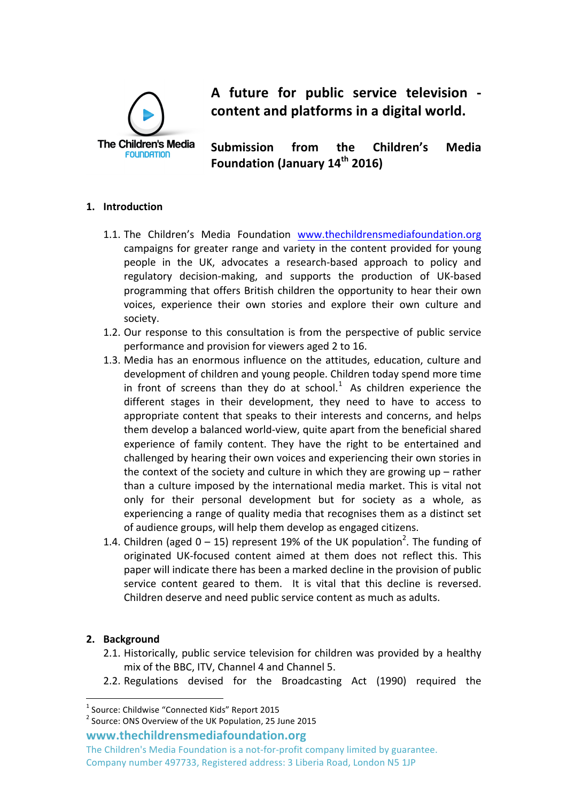

**A future for public service television**  content and platforms in a digital world.

**Submission from the Children's Media Foundation (January 14th 2016)**

### **1. Introduction**

- 1.1. The Children's Media Foundation www.thechildrensmediafoundation.org campaigns for greater range and variety in the content provided for young people in the UK, advocates a research-based approach to policy and regulatory decision-making, and supports the production of UK-based programming that offers British children the opportunity to hear their own voices, experience their own stories and explore their own culture and society.
- 1.2. Our response to this consultation is from the perspective of public service performance and provision for viewers aged 2 to 16.
- 1.3. Media has an enormous influence on the attitudes, education, culture and development of children and young people. Children today spend more time in front of screens than they do at school. $<sup>1</sup>$  As children experience the</sup> different stages in their development, they need to have to access to appropriate content that speaks to their interests and concerns, and helps them develop a balanced world-view, quite apart from the beneficial shared experience of family content. They have the right to be entertained and challenged by hearing their own voices and experiencing their own stories in the context of the society and culture in which they are growing  $up$  – rather than a culture imposed by the international media market. This is vital not only for their personal development but for society as a whole, as experiencing a range of quality media that recognises them as a distinct set of audience groups, will help them develop as engaged citizens.
- 1.4. Children (aged  $0 15$ ) represent 19% of the UK population<sup>2</sup>. The funding of originated UK-focused content aimed at them does not reflect this. This paper will indicate there has been a marked decline in the provision of public service content geared to them. It is vital that this decline is reversed. Children deserve and need public service content as much as adults.

### **2. Background**

- 2.1. Historically, public service television for children was provided by a healthy mix of the BBC, ITV, Channel 4 and Channel 5.
- 2.2. Regulations devised for the Broadcasting Act (1990) required the

**www.thechildrensmediafoundation.org**

<sup>&</sup>lt;sup>1</sup> Source: Childwise "Connected Kids" Report 2015<br><sup>2</sup> Source: ONS Overview of the UK Population, 25 June 2015

The Children's Media Foundation is a not-for-profit company limited by guarantee. Company number 497733, Registered address: 3 Liberia Road, London N5 1JP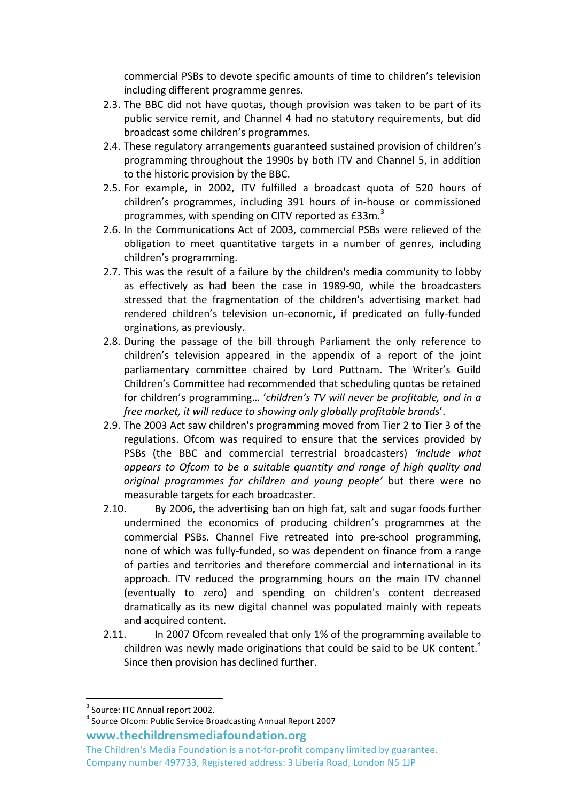commercial PSBs to devote specific amounts of time to children's television including different programme genres.

- 2.3. The BBC did not have quotas, though provision was taken to be part of its public service remit, and Channel 4 had no statutory requirements, but did broadcast some children's programmes.
- 2.4. These regulatory arrangements guaranteed sustained provision of children's programming throughout the 1990s by both ITV and Channel 5, in addition to the historic provision by the BBC.
- 2.5. For example, in 2002, ITV fulfilled a broadcast quota of 520 hours of children's programmes, including 391 hours of in-house or commissioned programmes, with spending on CITV reported as £33m.<sup>3</sup>
- 2.6. In the Communications Act of 2003, commercial PSBs were relieved of the obligation to meet quantitative targets in a number of genres, including children's programming.
- 2.7. This was the result of a failure by the children's media community to lobby as effectively as had been the case in 1989-90, while the broadcasters stressed that the fragmentation of the children's advertising market had rendered children's television un-economic, if predicated on fully-funded orginations, as previously.
- 2.8. During the passage of the bill through Parliament the only reference to children's television appeared in the appendix of a report of the joint parliamentary committee chaired by Lord Puttnam. The Writer's Guild Children's Committee had recommended that scheduling quotas be retained for children's programming... '*children's* TV will never be profitable, and in a *free market, it will reduce to showing only globally profitable brands'.*
- 2.9. The 2003 Act saw children's programming moved from Tier 2 to Tier 3 of the regulations. Ofcom was required to ensure that the services provided by PSBs (the BBC and commercial terrestrial broadcasters) *'include what appears to Ofcom to be a suitable auantity and range of high auality and original programmes for children and young people'* but there were no measurable targets for each broadcaster.
- 2.10. By 2006, the advertising ban on high fat, salt and sugar foods further undermined the economics of producing children's programmes at the commercial PSBs. Channel Five retreated into pre-school programming, none of which was fully-funded, so was dependent on finance from a range of parties and territories and therefore commercial and international in its approach. ITV reduced the programming hours on the main ITV channel (eventually to zero) and spending on children's content decreased dramatically as its new digital channel was populated mainly with repeats and acquired content.
- 2.11. In 2007 Ofcom revealed that only 1% of the programming available to children was newly made originations that could be said to be UK content.<sup>4</sup> Since then provision has declined further.

**www.thechildrensmediafoundation.org**  $3$  Source: ITC Annual report 2002.<br> $4$  Source Ofcom: Public Service Broadcasting Annual Report 2007

The Children's Media Foundation is a not-for-profit company limited by guarantee. Company number 497733, Registered address: 3 Liberia Road, London N5 1JP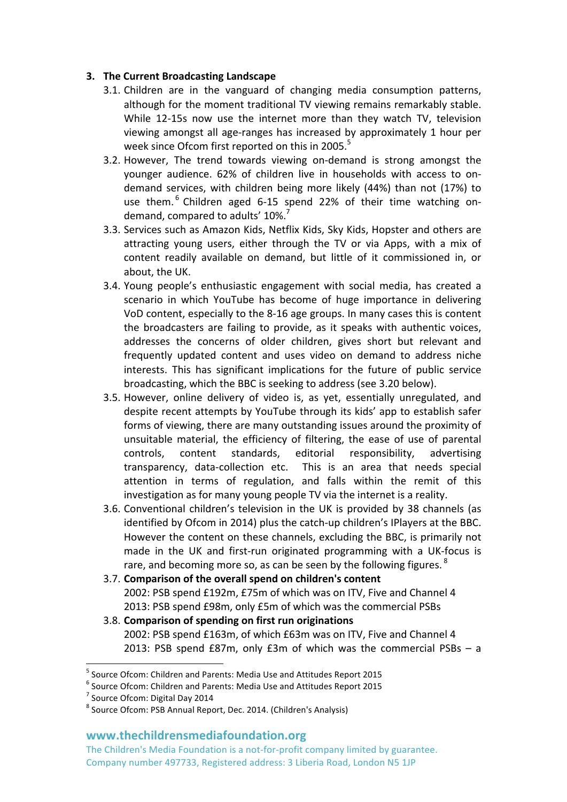## **3.** The Current Broadcasting Landscape

- 3.1. Children are in the vanguard of changing media consumption patterns, although for the moment traditional TV viewing remains remarkably stable. While 12-15s now use the internet more than they watch TV, television viewing amongst all age-ranges has increased by approximately 1 hour per week since Ofcom first reported on this in 2005.<sup>5</sup>
- 3.2. However, The trend towards viewing on-demand is strong amongst the younger audience. 62% of children live in households with access to ondemand services, with children being more likely (44%) than not (17%) to use them.<sup>6</sup> Children aged 6-15 spend 22% of their time watching ondemand, compared to adults'  $10\%$ .<sup>7</sup>
- 3.3. Services such as Amazon Kids, Netflix Kids, Sky Kids, Hopster and others are attracting young users, either through the TV or via Apps, with a mix of content readily available on demand, but little of it commissioned in, or about, the UK.
- 3.4. Young people's enthusiastic engagement with social media, has created a scenario in which YouTube has become of huge importance in delivering VoD content, especially to the 8-16 age groups. In many cases this is content the broadcasters are failing to provide, as it speaks with authentic voices, addresses the concerns of older children, gives short but relevant and frequently updated content and uses video on demand to address niche interests. This has significant implications for the future of public service broadcasting, which the BBC is seeking to address (see 3.20 below).
- 3.5. However, online delivery of video is, as yet, essentially unregulated, and despite recent attempts by YouTube through its kids' app to establish safer forms of viewing, there are many outstanding issues around the proximity of unsuitable material, the efficiency of filtering, the ease of use of parental controls, content standards, editorial responsibility, advertising transparency, data-collection etc. This is an area that needs special attention in terms of regulation, and falls within the remit of this investigation as for many young people TV via the internet is a reality.
- 3.6. Conventional children's television in the UK is provided by 38 channels (as identified by Ofcom in 2014) plus the catch-up children's IPlayers at the BBC. However the content on these channels, excluding the BBC, is primarily not made in the UK and first-run originated programming with a UK-focus is rare, and becoming more so, as can be seen by the following figures.  ${}^{8}$
- 3.7. **Comparison of the overall spend on children's content** 2002: PSB spend £192m, £75m of which was on ITV, Five and Channel 4 2013: PSB spend £98m, only £5m of which was the commercial PSBs
- 3.8. **Comparison of spending on first run originations** 2002: PSB spend £163m, of which £63m was on ITV, Five and Channel 4 2013: PSB spend  $£87m$ , only  $£3m$  of which was the commercial PSBs – a

### **www.thechildrensmediafoundation.org**

The Children's Media Foundation is a not-for-profit company limited by guarantee. Company number 497733, Registered address: 3 Liberia Road, London N5 1JP

<sup>&</sup>lt;sup>5</sup> Source Ofcom: Children and Parents: Media Use and Attitudes Report 2015<br>
<sup>6</sup> Source Ofcom: Children and Parents: Media Use and Attitudes Report 2015<br>
<sup>7</sup> Source Ofcom: Digital Day 2014

 $8$  Source Ofcom: PSB Annual Report, Dec. 2014. (Children's Analysis)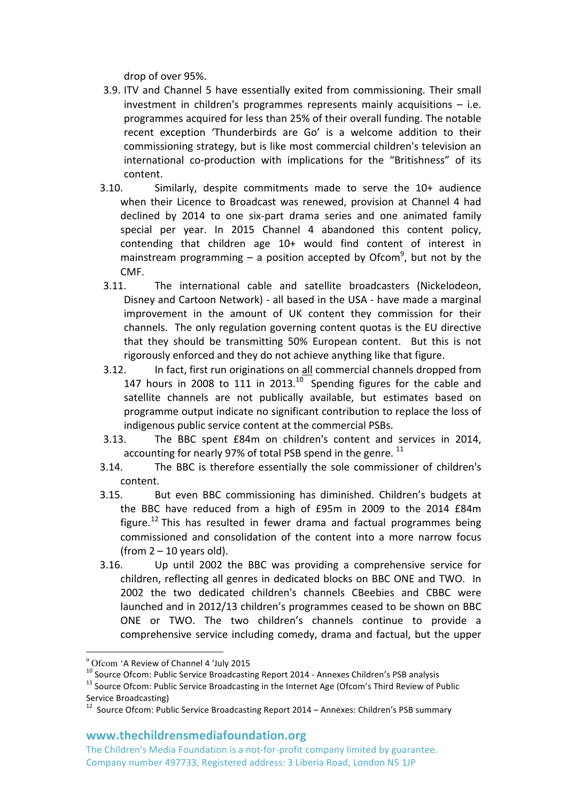drop of over 95%.

- 3.9. ITV and Channel 5 have essentially exited from commissioning. Their small investment in children's programmes represents mainly acquisitions  $-$  i.e. programmes acquired for less than 25% of their overall funding. The notable recent exception 'Thunderbirds are Go' is a welcome addition to their commissioning strategy, but is like most commercial children's television an international co-production with implications for the "Britishness" of its content.
- $3.10.$  Similarly, despite commitments made to serve the  $10+$  audience when their Licence to Broadcast was renewed, provision at Channel 4 had declined by 2014 to one six-part drama series and one animated family special per year. In 2015 Channel 4 abandoned this content policy, contending that children age  $10+$  would find content of interest in mainstream programming  $-$  a position accepted by Ofcom<sup>9</sup>, but not by the CMF.
- 3.11. The international cable and satellite broadcasters (Nickelodeon, Disney and Cartoon Network) - all based in the USA - have made a marginal improvement in the amount of UK content they commission for their channels. The only regulation governing content quotas is the EU directive that they should be transmitting 50% European content. But this is not rigorously enforced and they do not achieve anything like that figure.
- 3.12. In fact, first run originations on all commercial channels dropped from 147 hours in 2008 to 111 in 2013.<sup>10</sup> Spending figures for the cable and satellite channels are not publically available, but estimates based on programme output indicate no significant contribution to replace the loss of indigenous public service content at the commercial PSBs.
- 3.13. The BBC spent £84m on children's content and services in 2014, accounting for nearly 97% of total PSB spend in the genre.  $^{11}$
- 3.14. The BBC is therefore essentially the sole commissioner of children's content.
- 3.15. But even BBC commissioning has diminished. Children's budgets at the BBC have reduced from a high of £95m in 2009 to the 2014 £84m figure.<sup>12</sup> This has resulted in fewer drama and factual programmes being commissioned and consolidation of the content into a more narrow focus (from  $2 - 10$  years old).
- 3.16. Up until 2002 the BBC was providing a comprehensive service for children, reflecting all genres in dedicated blocks on BBC ONE and TWO. In 2002 the two dedicated children's channels CBeebies and CBBC were launched and in 2012/13 children's programmes ceased to be shown on BBC ONE or TWO. The two children's channels continue to provide a comprehensive service including comedy, drama and factual, but the upper

 

**www.thechildrensmediafoundation.org**

The Children's Media Foundation is a not-for-profit company limited by guarantee. Company number 497733, Registered address: 3 Liberia Road, London N5 1JP

<sup>&</sup>lt;sup>9</sup> Ofcom 'A Review of Channel 4 'July 2015<br><sup>10</sup> Source Ofcom: Public Service Broadcasting Report 2014 - Annexes Children's PSB analysis<br><sup>11</sup> Source Ofcom: Public Service Broadcasting in the Internet Age (Ofcom's Third Re

Service Broadcasting)<br><sup>12</sup> Source Ofcom: Public Service Broadcasting Report 2014 – Annexes: Children's PSB summary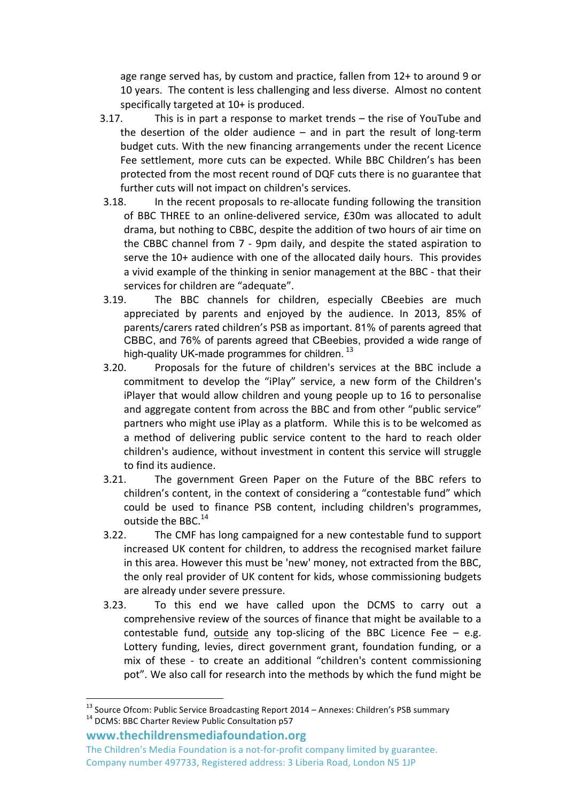age range served has, by custom and practice, fallen from 12+ to around 9 or 10 years. The content is less challenging and less diverse. Almost no content specifically targeted at  $10+$  is produced.

- 3.17. This is in part a response to market trends  $-$  the rise of YouTube and the desertion of the older audience  $-$  and in part the result of long-term budget cuts. With the new financing arrangements under the recent Licence Fee settlement, more cuts can be expected. While BBC Children's has been protected from the most recent round of DQF cuts there is no guarantee that further cuts will not impact on children's services.
- 3.18. In the recent proposals to re-allocate funding following the transition of BBC THREE to an online-delivered service, £30m was allocated to adult drama, but nothing to CBBC, despite the addition of two hours of air time on the CBBC channel from 7 - 9pm daily, and despite the stated aspiration to serve the  $10+$  audience with one of the allocated daily hours. This provides a vivid example of the thinking in senior management at the BBC - that their services for children are "adequate".
- 3.19. The BBC channels for children, especially CBeebies are much appreciated by parents and enjoyed by the audience. In 2013, 85% of parents/carers rated children's PSB as important. 81% of parents agreed that CBBC, and 76% of parents agreed that CBeebies, provided a wide range of high-quality UK-made programmes for children.<sup>13</sup>
- 3.20. Proposals for the future of children's services at the BBC include a commitment to develop the "iPlay" service, a new form of the Children's iPlayer that would allow children and young people up to 16 to personalise and aggregate content from across the BBC and from other "public service" partners who might use iPlay as a platform. While this is to be welcomed as a method of delivering public service content to the hard to reach older children's audience, without investment in content this service will struggle to find its audience.
- 3.21. The government Green Paper on the Future of the BBC refers to children's content, in the context of considering a "contestable fund" which could be used to finance PSB content, including children's programmes, outside the BBC.<sup>14</sup>
- 3.22. The CMF has long campaigned for a new contestable fund to support increased UK content for children, to address the recognised market failure in this area. However this must be 'new' money, not extracted from the BBC, the only real provider of UK content for kids, whose commissioning budgets are already under severe pressure.
- 3.23. To this end we have called upon the DCMS to carry out a comprehensive review of the sources of finance that might be available to a contestable fund, outside any top-slicing of the BBC Licence Fee  $-$  e.g. Lottery funding, levies, direct government grant, foundation funding, or a mix of these - to create an additional "children's content commissioning pot". We also call for research into the methods by which the fund might be

**www.thechildrensmediafoundation.org**

<sup>&</sup>lt;sup>13</sup> Source Ofcom: Public Service Broadcasting Report 2014 – Annexes: Children's PSB summary  $14$  DCMS: BBC Charter Review Public Consultation p57

The Children's Media Foundation is a not-for-profit company limited by guarantee. Company number 497733, Registered address: 3 Liberia Road, London N5 1JP